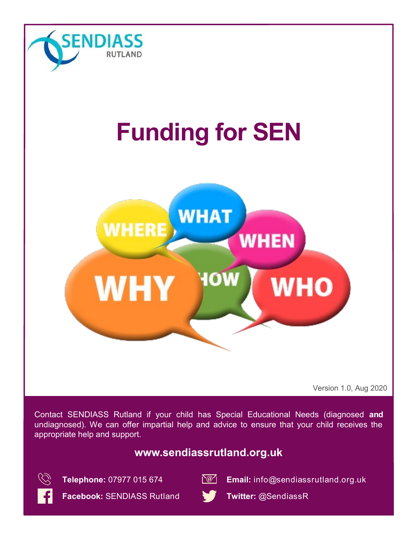

# **Funding for SEN**



Version 1.0, Aug 2020

Contact SENDIASS Rutland if your child has Special Educational Needs (diagnosed **and** undiagnosed). We can offer impartial help and advice to ensure that your child receives the appropriate help and support.

## **www.sendiassrutland.org.uk**





**Telephone:** 07977 015 674 **Email:** info@sendiassrutland.org.uk

**Facebook:** SENDIASS Rutland **Twitter:** @SendiassR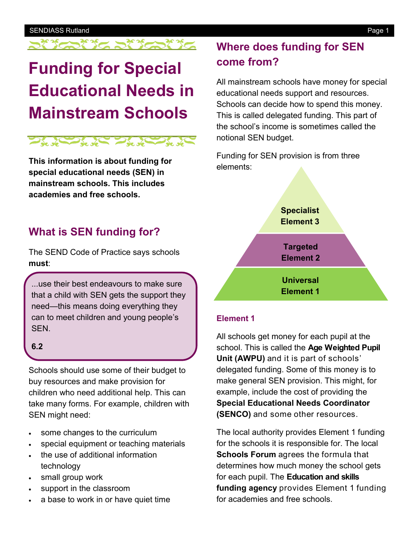## **Funding for Special Educational Needs in Mainstream Schools**



**This information is about funding for special educational needs (SEN) in mainstream schools. This includes academies and free schools.**

## **What is SEN funding for?**

The SEND Code of Practice says schools **must**:

...use their best endeavours to make sure that a child with SEN gets the support they need—this means doing everything they can to meet children and young people's SEN.

#### **6.2**

Schools should use some of their budget to buy resources and make provision for children who need additional help. This can take many forms. For example, children with SEN might need:

- some changes to the curriculum
- special equipment or teaching materials
- the use of additional information technology
- small group work
- support in the classroom
- a base to work in or have quiet time

## **Where does funding for SEN come from?**

All mainstream schools have money for special educational needs support and resources. Schools can decide how to spend this money. This is called delegated funding. This part of the school's income is sometimes called the notional SEN budget.

Funding for SEN provision is from three elements:



#### **Element 1**

All schools get money for each pupil at the school. This is called the **Age Weighted Pupil Unit (AWPU)** and it is part of schools' delegated funding. Some of this money is to make general SEN provision. This might, for example, include the cost of providing the **Special Educational Needs Coordinator (SENCO)** and some other resources.

The local authority provides Element 1 funding for the schools it is responsible for. The local **Schools Forum** agrees the formula that determines how much money the school gets for each pupil. The **Education and skills funding agency** provides Element 1 funding for academies and free schools.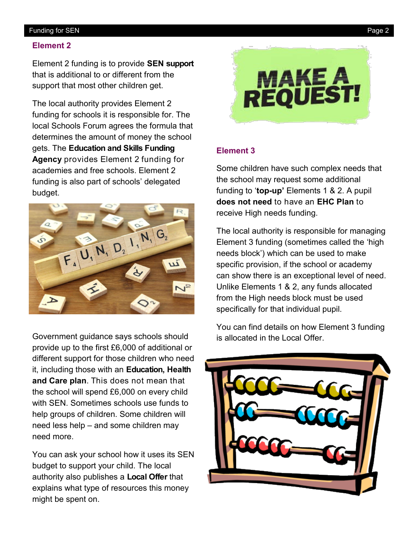#### Funding for SEN Page 2

#### **Element 2**

Element 2 funding is to provide **SEN support**  that is additional to or different from the support that most other children get.

The local authority provides Element 2 funding for schools it is responsible for. The local Schools Forum agrees the formula that determines the amount of money the school gets. The **Education and Skills Funding Agency** provides Element 2 funding for academies and free schools. Element 2 funding is also part of schools' delegated budget.



Government guidance says schools should provide up to the first £6,000 of additional or different support for those children who need it, including those with an **Education, Health and Care plan**. This does not mean that the school will spend £6,000 on every child with SEN. Sometimes schools use funds to help groups of children. Some children will need less help – and some children may need more.

You can ask your school how it uses its SEN budget to support your child. The local authority also publishes a **Local Offer** that explains what type of resources this money might be spent on.



#### **Element 3**

Some children have such complex needs that the school may request some additional funding to '**top-up'** Elements 1 & 2. A pupil **does not need** to have an **EHC Plan** to receive High needs funding.

The local authority is responsible for managing Element 3 funding (sometimes called the 'high needs block') which can be used to make specific provision, if the school or academy can show there is an exceptional level of need. Unlike Elements 1 & 2, any funds allocated from the High needs block must be used specifically for that individual pupil.

You can find details on how Element 3 funding is allocated in the Local Offer.